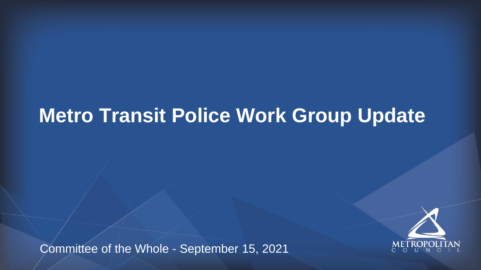## **Metro Transit Police Work Group Update**

Committee of the Whole - September 15, 2021



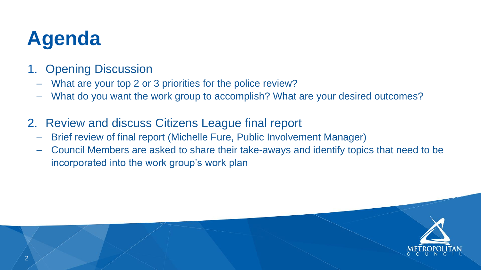

## **Agenda**

– What do you want the work group to accomplish? What are your desired outcomes?

- 1. Opening Discussion
	- What are your top 2 or 3 priorities for the police review?
	-
- 2. Review and discuss Citizens League final report
	- Brief review of final report (Michelle Fure, Public Involvement Manager)
	- incorporated into the work group's work plan

– Council Members are asked to share their take-aways and identify topics that need to be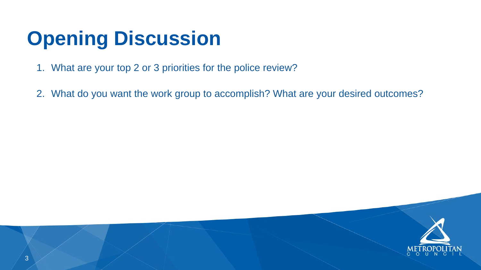- 1. What are your top 2 or 3 priorities for the police review?
- 

2. What do you want the work group to accomplish? What are your desired outcomes?



# **Opening Discussion**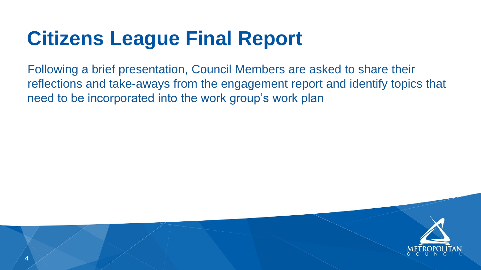



Following a brief presentation, Council Members are asked to share their reflections and take-aways from the engagement report and identify topics that need to be incorporated into the work group's work plan

# **Citizens League Final Report**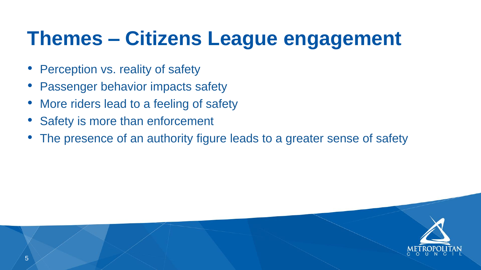



# **Themes – Citizens League engagement**

- Perception vs. reality of safety
- Passenger behavior impacts safety
- More riders lead to a feeling of safety
- Safety is more than enforcement
- The presence of an authority figure leads to a greater sense of safety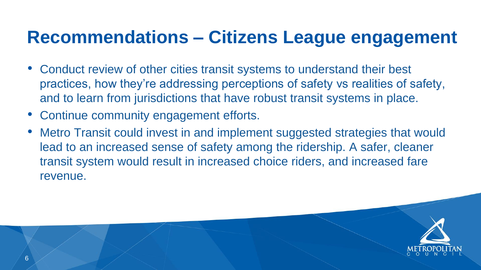



- Conduct review of other cities transit systems to understand their best practices, how they're addressing perceptions of safety vs realities of safety, and to learn from jurisdictions that have robust transit systems in place.
- Continue community engagement efforts.
- Metro Transit could invest in and implement suggested strategies that would lead to an increased sense of safety among the ridership. A safer, cleaner transit system would result in increased choice riders, and increased fare revenue.

#### **Recommendations – Citizens League engagement**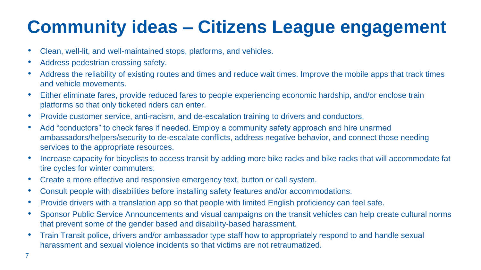• Address the reliability of existing routes and times and reduce wait times. Improve the mobile apps that track times

• Either eliminate fares, provide reduced fares to people experiencing economic hardship, and/or enclose train

ambassadors/helpers/security to de-escalate conflicts, address negative behavior, and connect those needing

• Increase capacity for bicyclists to access transit by adding more bike racks and bike racks that will accommodate fat

- Clean, well-lit, and well-maintained stops, platforms, and vehicles.
- Address pedestrian crossing safety.
- and vehicle movements.
- platforms so that only ticketed riders can enter.
- Provide customer service, anti-racism, and de-escalation training to drivers and conductors.
- Add "conductors" to check fares if needed. Employ a community safety approach and hire unarmed services to the appropriate resources.
- tire cycles for winter commuters.
- Create a more effective and responsive emergency text, button or call system.
- Consult people with disabilities before installing safety features and/or accommodations.
- Provide drivers with a translation app so that people with limited English proficiency can feel safe.
- that prevent some of the gender based and disability-based harassment.
- harassment and sexual violence incidents so that victims are not retraumatized.

• Sponsor Public Service Announcements and visual campaigns on the transit vehicles can help create cultural norms

• Train Transit police, drivers and/or ambassador type staff how to appropriately respond to and handle sexual

### **Community ideas – Citizens League engagement**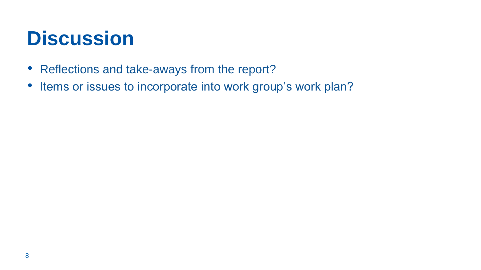- Reflections and take-aways from the report?
- Items or issues to incorporate into work group's work plan?

### **Discussion**